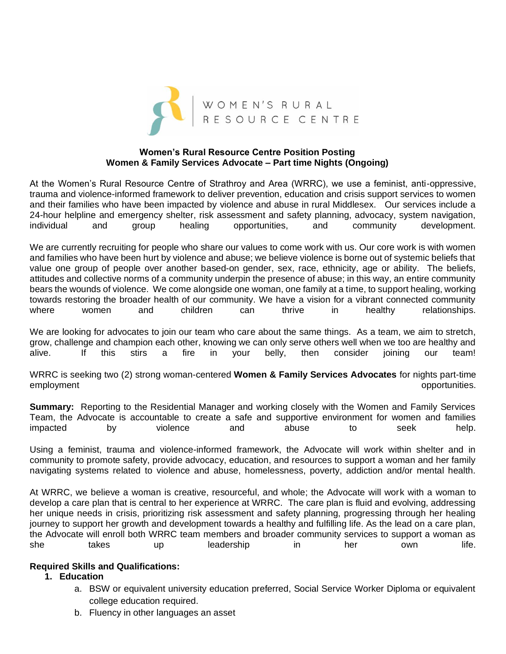

### **Women's Rural Resource Centre Position Posting Women & Family Services Advocate – Part time Nights (Ongoing)**

At the Women's Rural Resource Centre of Strathroy and Area (WRRC), we use a feminist, anti-oppressive, trauma and violence-informed framework to deliver prevention, education and crisis support services to women and their families who have been impacted by violence and abuse in rural Middlesex. Our services include a 24-hour helpline and emergency shelter, risk assessment and safety planning, advocacy, system navigation, individual and group healing opportunities, and community development.

We are currently recruiting for people who share our values to come work with us. Our core work is with women and families who have been hurt by violence and abuse; we believe violence is borne out of systemic beliefs that value one group of people over another based-on gender, sex, race, ethnicity, age or ability. The beliefs, attitudes and collective norms of a community underpin the presence of abuse; in this way, an entire community bears the wounds of violence. We come alongside one woman, one family at a time, to support healing, working towards restoring the broader health of our community. We have a vision for a vibrant connected community where women and children can thrive in healthy relationships.

We are looking for advocates to join our team who care about the same things. As a team, we aim to stretch, grow, challenge and champion each other, knowing we can only serve others well when we too are healthy and alive. If this stirs a fire in your belly, then consider joining our team!

WRRC is seeking two (2) strong woman-centered **Women & Family Services Advocates** for nights part-time employment **opportunities**.

**Summary:** Reporting to the Residential Manager and working closely with the Women and Family Services Team, the Advocate is accountable to create a safe and supportive environment for women and families impacted by violence and abuse to seek help.

Using a feminist, trauma and violence-informed framework, the Advocate will work within shelter and in community to promote safety, provide advocacy, education, and resources to support a woman and her family navigating systems related to violence and abuse, homelessness, poverty, addiction and/or mental health.

At WRRC, we believe a woman is creative, resourceful, and whole; the Advocate will work with a woman to develop a care plan that is central to her experience at WRRC. The care plan is fluid and evolving, addressing her unique needs in crisis, prioritizing risk assessment and safety planning, progressing through her healing journey to support her growth and development towards a healthy and fulfilling life. As the lead on a care plan, the Advocate will enroll both WRRC team members and broader community services to support a woman as she takes up leadership in her own life.

### **Required Skills and Qualifications:**

### **1. Education**

- a. BSW or equivalent university education preferred, Social Service Worker Diploma or equivalent college education required.
- b. Fluency in other languages an asset